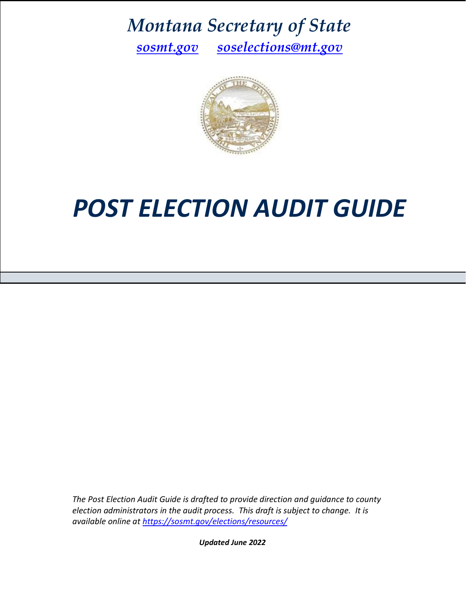*Montana Secretary of State*

*[sosmt.gov](https://sosmt.gov/) ● [soselections@mt.gov](mailto:soselections@mt.gov)*



# *POST ELECTION AUDIT GUIDE*

*The Post Election Audit Guide is drafted to provide direction and guidance to county election administrators in the audit process. This draft is subject to change. It is available online at<https://sosmt.gov/elections/resources/>*

*Updated June 2022*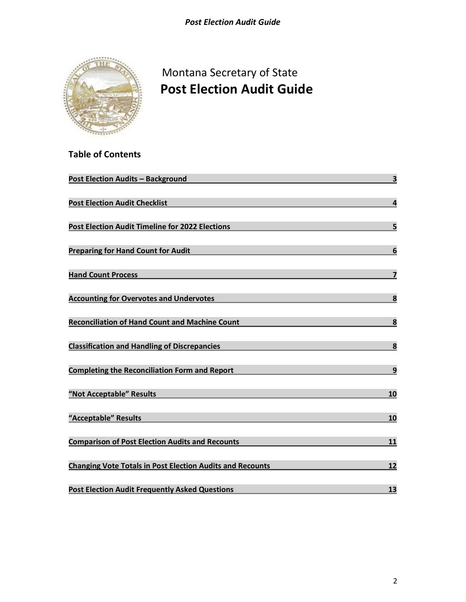

**Table of Contents**

# Montana Secretary of State  **Post Election Audit Guide**

| <b>Post Election Audits - Background</b>                         | 3                       |
|------------------------------------------------------------------|-------------------------|
| <b>Post Election Audit Checklist</b>                             | $\overline{\mathbf{r}}$ |
| Post Election Audit Timeline for 2022 Elections                  | 5                       |
| <b>Preparing for Hand Count for Audit</b>                        | $6\phantom{1}6$         |
| <b>Hand Count Process</b>                                        | $\overline{\mathbf{z}}$ |
| <b>Accounting for Overvotes and Undervotes</b>                   | 8                       |
| <b>Reconciliation of Hand Count and Machine Count</b>            | 8                       |
| <b>Classification and Handling of Discrepancies</b>              | $\overline{\mathbf{8}}$ |
| <b>Completing the Reconciliation Form and Report</b>             | $\mathbf{9}$            |
| "Not Acceptable" Results                                         | 10                      |
| "Acceptable" Results                                             | 10                      |
| <b>Comparison of Post Election Audits and Recounts</b>           | 11                      |
| <b>Changing Vote Totals in Post Election Audits and Recounts</b> | 12                      |
| <b>Post Election Audit Frequently Asked Questions</b>            | 13                      |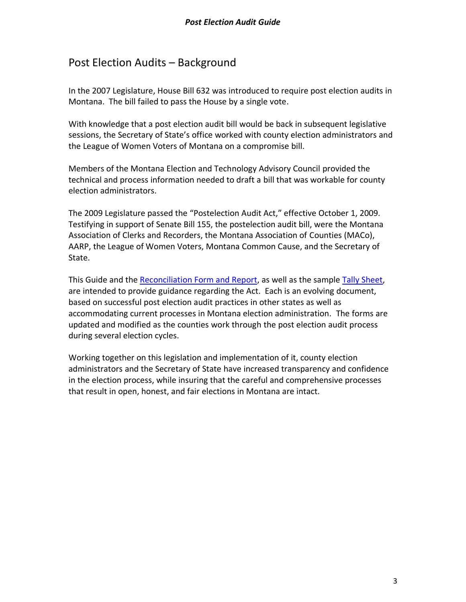# <span id="page-2-0"></span>Post Election Audits – Background

In the 2007 Legislature, House Bill 632 was introduced to require post election audits in Montana. The bill failed to pass the House by a single vote.

With knowledge that a post election audit bill would be back in subsequent legislative sessions, the Secretary of State's office worked with county election administrators and the League of Women Voters of Montana on a compromise bill.

Members of the Montana Election and Technology Advisory Council provided the technical and process information needed to draft a bill that was workable for county election administrators.

The 2009 Legislature passed the "Postelection Audit Act," effective October 1, 2009. Testifying in support of Senate Bill 155, the postelection audit bill, were the Montana Association of Clerks and Recorders, the Montana Association of Counties (MACo), AARP, the League of Women Voters, Montana Common Cause, and the Secretary of State.

This Guide and the [Reconciliation](https://sosmt.gov/elections/resources/) Form and Report, as well as the sampl[e Tally Sheet,](https://sosmt.gov/Portals/142/Elections/Documents/Officials/Post-Election-Audit-Tally-Sheet.xls) are intended to provide guidance regarding the Act. Each is an evolving document, based on successful post election audit practices in other states as well as accommodating current processes in Montana election administration. The forms are updated and modified as the counties work through the post election audit process during several election cycles.

Working together on this legislation and implementation of it, county election administrators and the Secretary of State have increased transparency and confidence in the election process, while insuring that the careful and comprehensive processes that result in open, honest, and fair elections in Montana are intact.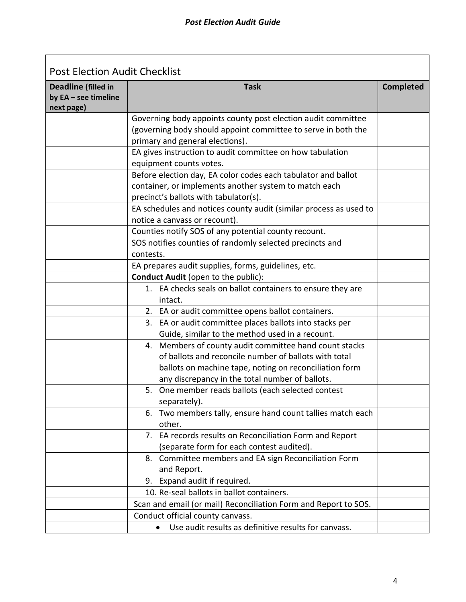<span id="page-3-0"></span>

| <b>Post Election Audit Checklist</b>                             |                                                                                                                                                                                                                              |                  |  |  |  |
|------------------------------------------------------------------|------------------------------------------------------------------------------------------------------------------------------------------------------------------------------------------------------------------------------|------------------|--|--|--|
| <b>Deadline (filled in</b><br>by EA - see timeline<br>next page) | <b>Task</b>                                                                                                                                                                                                                  | <b>Completed</b> |  |  |  |
|                                                                  | Governing body appoints county post election audit committee<br>(governing body should appoint committee to serve in both the<br>primary and general elections).                                                             |                  |  |  |  |
|                                                                  | EA gives instruction to audit committee on how tabulation<br>equipment counts votes.                                                                                                                                         |                  |  |  |  |
|                                                                  | Before election day, EA color codes each tabulator and ballot<br>container, or implements another system to match each<br>precinct's ballots with tabulator(s).                                                              |                  |  |  |  |
|                                                                  | EA schedules and notices county audit (similar process as used to<br>notice a canvass or recount).                                                                                                                           |                  |  |  |  |
|                                                                  | Counties notify SOS of any potential county recount.                                                                                                                                                                         |                  |  |  |  |
|                                                                  | SOS notifies counties of randomly selected precincts and<br>contests.                                                                                                                                                        |                  |  |  |  |
|                                                                  | EA prepares audit supplies, forms, guidelines, etc.                                                                                                                                                                          |                  |  |  |  |
|                                                                  | Conduct Audit (open to the public):                                                                                                                                                                                          |                  |  |  |  |
|                                                                  | 1. EA checks seals on ballot containers to ensure they are<br>intact.                                                                                                                                                        |                  |  |  |  |
|                                                                  | 2. EA or audit committee opens ballot containers.                                                                                                                                                                            |                  |  |  |  |
|                                                                  | 3. EA or audit committee places ballots into stacks per<br>Guide, similar to the method used in a recount.                                                                                                                   |                  |  |  |  |
|                                                                  | 4. Members of county audit committee hand count stacks<br>of ballots and reconcile number of ballots with total<br>ballots on machine tape, noting on reconciliation form<br>any discrepancy in the total number of ballots. |                  |  |  |  |
|                                                                  | 5. One member reads ballots (each selected contest<br>separately).                                                                                                                                                           |                  |  |  |  |
|                                                                  | Two members tally, ensure hand count tallies match each<br>6.<br>other.                                                                                                                                                      |                  |  |  |  |
|                                                                  | 7. EA records results on Reconciliation Form and Report<br>(separate form for each contest audited).                                                                                                                         |                  |  |  |  |
|                                                                  | 8. Committee members and EA sign Reconciliation Form<br>and Report.                                                                                                                                                          |                  |  |  |  |
|                                                                  | Expand audit if required.<br>9.                                                                                                                                                                                              |                  |  |  |  |
|                                                                  | 10. Re-seal ballots in ballot containers.                                                                                                                                                                                    |                  |  |  |  |
|                                                                  | Scan and email (or mail) Reconciliation Form and Report to SOS.                                                                                                                                                              |                  |  |  |  |
|                                                                  | Conduct official county canvass.                                                                                                                                                                                             |                  |  |  |  |
|                                                                  | Use audit results as definitive results for canvass.<br>$\bullet$                                                                                                                                                            |                  |  |  |  |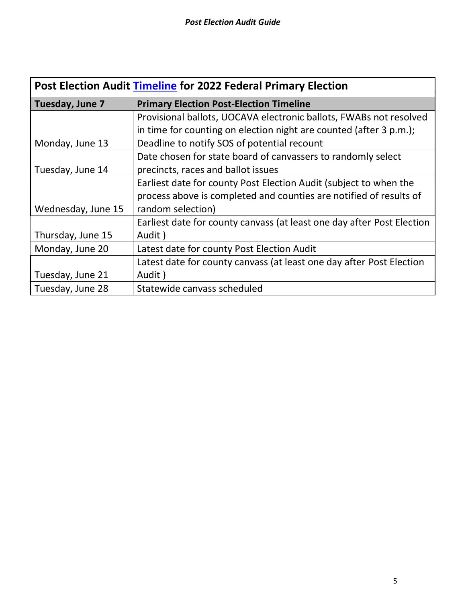<span id="page-4-0"></span>

| Post Election Audit Timeline for 2022 Federal Primary Election |                                                                        |  |  |  |
|----------------------------------------------------------------|------------------------------------------------------------------------|--|--|--|
| Tuesday, June 7                                                | <b>Primary Election Post-Election Timeline</b>                         |  |  |  |
|                                                                | Provisional ballots, UOCAVA electronic ballots, FWABs not resolved     |  |  |  |
|                                                                | in time for counting on election night are counted (after 3 p.m.);     |  |  |  |
| Monday, June 13                                                | Deadline to notify SOS of potential recount                            |  |  |  |
|                                                                | Date chosen for state board of canvassers to randomly select           |  |  |  |
| Tuesday, June 14                                               | precincts, races and ballot issues                                     |  |  |  |
|                                                                | Earliest date for county Post Election Audit (subject to when the      |  |  |  |
|                                                                | process above is completed and counties are notified of results of     |  |  |  |
| Wednesday, June 15                                             | random selection)                                                      |  |  |  |
|                                                                | Earliest date for county canvass (at least one day after Post Election |  |  |  |
| Thursday, June 15                                              | Audit)                                                                 |  |  |  |
| Monday, June 20                                                | Latest date for county Post Election Audit                             |  |  |  |
|                                                                | Latest date for county canvass (at least one day after Post Election   |  |  |  |
| Tuesday, June 21                                               | Audit)                                                                 |  |  |  |
| Tuesday, June 28                                               | Statewide canvass scheduled                                            |  |  |  |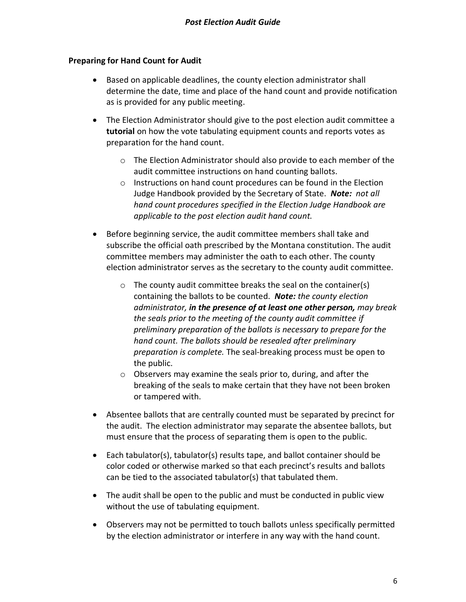# <span id="page-5-0"></span>**Preparing for Hand Count for Audit**

- Based on applicable deadlines, the county election administrator shall determine the date, time and place of the hand count and provide notification as is provided for any public meeting.
- The Election Administrator should give to the post election audit committee a **tutorial** on how the vote tabulating equipment counts and reports votes as preparation for the hand count.
	- o The Election Administrator should also provide to each member of the audit committee instructions on hand counting ballots.
	- $\circ$  Instructions on hand count procedures can be found in the Election Judge Handbook provided by the Secretary of State. *Note: not all hand count procedures specified in the Election Judge Handbook are applicable to the post election audit hand count.*
- Before beginning service, the audit committee members shall take and subscribe the official oath prescribed by the Montana constitution. The audit committee members may administer the oath to each other. The county election administrator serves as the secretary to the county audit committee.
	- o The county audit committee breaks the seal on the container(s) containing the ballots to be counted. *Note: the county election administrator, in the presence of at least one other person, may break the seals prior to the meeting of the county audit committee if preliminary preparation of the ballots is necessary to prepare for the hand count. The ballots should be resealed after preliminary preparation is complete.* The seal-breaking process must be open to the public.
	- o Observers may examine the seals prior to, during, and after the breaking of the seals to make certain that they have not been broken or tampered with.
- Absentee ballots that are centrally counted must be separated by precinct for the audit. The election administrator may separate the absentee ballots, but must ensure that the process of separating them is open to the public.
- Each tabulator(s), tabulator(s) results tape, and ballot container should be color coded or otherwise marked so that each precinct's results and ballots can be tied to the associated tabulator(s) that tabulated them.
- The audit shall be open to the public and must be conducted in public view without the use of tabulating equipment.
- Observers may not be permitted to touch ballots unless specifically permitted by the election administrator or interfere in any way with the hand count.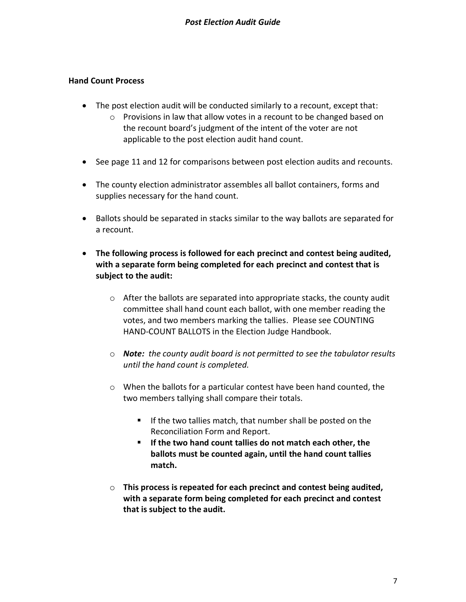# <span id="page-6-0"></span>**Hand Count Process**

- The post election audit will be conducted similarly to a recount, except that:
	- o Provisions in law that allow votes in a recount to be changed based on the recount board's judgment of the intent of the voter are not applicable to the post election audit hand count.
- See page 11 and 12 for comparisons between post election audits and recounts.
- The county election administrator assembles all ballot containers, forms and supplies necessary for the hand count.
- Ballots should be separated in stacks similar to the way ballots are separated for a recount.
- <span id="page-6-1"></span>• **The following process is followed for each precinct and contest being audited, with a separate form being completed for each precinct and contest that is subject to the audit:**
	- $\circ$  After the ballots are separated into appropriate stacks, the county audit committee shall hand count each ballot, with one member reading the votes, and two members marking the tallies. Please see COUNTING HAND-COUNT BALLOTS in the Election Judge Handbook.
	- o *Note: the county audit board is not permitted to see the tabulator results until the hand count is completed.*
	- o When the ballots for a particular contest have been hand counted, the two members tallying shall compare their totals.
		- If the two tallies match, that number shall be posted on the Reconciliation Form and Report.
		- **If the two hand count tallies do not match each other, the ballots must be counted again, until the hand count tallies match.**
	- o **This process is repeated for each precinct and contest being audited, with a separate form being completed for each precinct and contest that is subject to the audit.**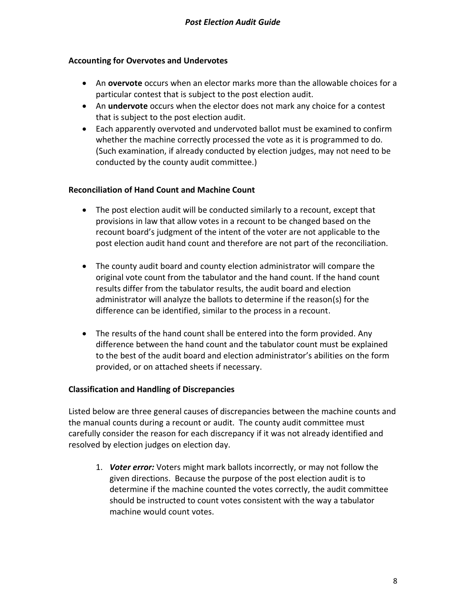# **Accounting for Overvotes and Undervotes**

- An **overvote** occurs when an elector marks more than the allowable choices for a particular contest that is subject to the post election audit.
- An **undervote** occurs when the elector does not mark any choice for a contest that is subject to the post election audit.
- Each apparently overvoted and undervoted ballot must be examined to confirm whether the machine correctly processed the vote as it is programmed to do. (Such examination, if already conducted by election judges, may not need to be conducted by the county audit committee.)

# <span id="page-7-0"></span>**Reconciliation of Hand Count and Machine Count**

- The post election audit will be conducted similarly to a recount, except that provisions in law that allow votes in a recount to be changed based on the recount board's judgment of the intent of the voter are not applicable to the post election audit hand count and therefore are not part of the reconciliation.
- The county audit board and county election administrator will compare the original vote count from the tabulator and the hand count. If the hand count results differ from the tabulator results, the audit board and election administrator will analyze the ballots to determine if the reason(s) for the difference can be identified, similar to the process in a recount.
- The results of the hand count shall be entered into the form provided. Any difference between the hand count and the tabulator count must be explained to the best of the audit board and election administrator's abilities on the form provided, or on attached sheets if necessary.

# <span id="page-7-1"></span>**Classification and Handling of Discrepancies**

Listed below are three general causes of discrepancies between the machine counts and the manual counts during a recount or audit. The county audit committee must carefully consider the reason for each discrepancy if it was not already identified and resolved by election judges on election day.

1. *Voter error:* Voters might mark ballots incorrectly, or may not follow the given directions. Because the purpose of the post election audit is to determine if the machine counted the votes correctly, the audit committee should be instructed to count votes consistent with the way a tabulator machine would count votes.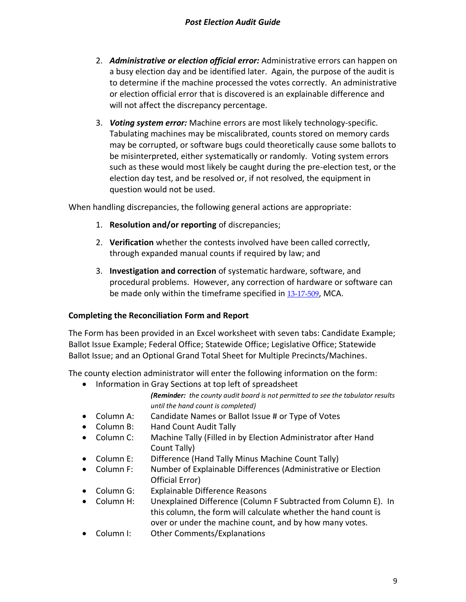- 2. *Administrative or election official error:* Administrative errors can happen on a busy election day and be identified later. Again, the purpose of the audit is to determine if the machine processed the votes correctly. An administrative or election official error that is discovered is an explainable difference and will not affect the discrepancy percentage.
- 3. *Voting system error:* Machine errors are most likely technology-specific. Tabulating machines may be miscalibrated, counts stored on memory cards may be corrupted, or software bugs could theoretically cause some ballots to be misinterpreted, either systematically or randomly. Voting system errors such as these would most likely be caught during the pre-election test, or the election day test, and be resolved or, if not resolved, the equipment in question would not be used.

When handling discrepancies, the following general actions are appropriate:

- 1. **Resolution and/or reporting** of discrepancies;
- 2. **Verification** whether the contests involved have been called correctly, through expanded manual counts if required by law; and
- 3. **Investigation and correction** of systematic hardware, software, and procedural problems. However, any correction of hardware or software can be made only within the timeframe specified in [13-17-509](http://leg.mt.gov/bills/mca/title_0130/chapter_0170/part_0050/section_0090/0130-0170-0050-0090.html), MCA.

# <span id="page-8-0"></span>**Completing the Reconciliation Form and Report**

The Form has been provided in an Excel worksheet with seven tabs: Candidate Example; Ballot Issue Example; Federal Office; Statewide Office; Legislative Office; Statewide Ballot Issue; and an Optional Grand Total Sheet for Multiple Precincts/Machines.

The county election administrator will enter the following information on the form:

• Information in Gray Sections at top left of spreadsheet

*(Reminder: the county audit board is not permitted to see the tabulator results until the hand count is completed)*

- Column A: Candidate Names or Ballot Issue # or Type of Votes
- Column B: Hand Count Audit Tally
- Column C: Machine Tally (Filled in by Election Administrator after Hand Count Tally)
- Column E: Difference (Hand Tally Minus Machine Count Tally)
- Column F: Number of Explainable Differences (Administrative or Election Official Error)
- Column G: Explainable Difference Reasons
- Column H: Unexplained Difference (Column F Subtracted from Column E). In this column, the form will calculate whether the hand count is over or under the machine count, and by how many votes.
- Column I: Other Comments/Explanations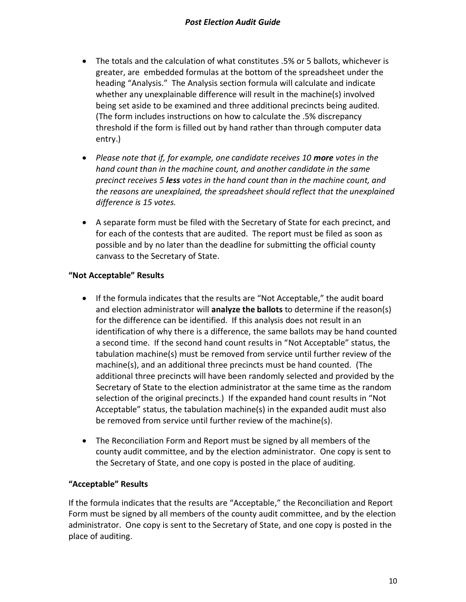- The totals and the calculation of what constitutes .5% or 5 ballots, whichever is greater, are embedded formulas at the bottom of the spreadsheet under the heading "Analysis." The Analysis section formula will calculate and indicate whether any unexplainable difference will result in the machine(s) involved being set aside to be examined and three additional precincts being audited. (The form includes instructions on how to calculate the .5% discrepancy threshold if the form is filled out by hand rather than through computer data entry.)
- Please note that if, for example, one candidate receives 10 **more** votes in the *hand count than in the machine count, and another candidate in the same precinct receives 5 less votes in the hand count than in the machine count, and the reasons are unexplained, the spreadsheet should reflect that the unexplained difference is 15 votes.*
- A separate form must be filed with the Secretary of State for each precinct, and for each of the contests that are audited. The report must be filed as soon as possible and by no later than the deadline for submitting the official county canvass to the Secretary of State.

# <span id="page-9-0"></span>**"Not Acceptable" Results**

- If the formula indicates that the results are "Not Acceptable," the audit board and election administrator will **analyze the ballots** to determine if the reason(s) for the difference can be identified. If this analysis does not result in an identification of why there is a difference, the same ballots may be hand counted a second time. If the second hand count results in "Not Acceptable" status, the tabulation machine(s) must be removed from service until further review of the machine(s), and an additional three precincts must be hand counted. (The additional three precincts will have been randomly selected and provided by the Secretary of State to the election administrator at the same time as the random selection of the original precincts.) If the expanded hand count results in "Not Acceptable" status, the tabulation machine(s) in the expanded audit must also be removed from service until further review of the machine(s).
- The Reconciliation Form and Report must be signed by all members of the county audit committee, and by the election administrator. One copy is sent to the Secretary of State, and one copy is posted in the place of auditing.

# <span id="page-9-1"></span>**"Acceptable" Results**

If the formula indicates that the results are "Acceptable," the Reconciliation and Report Form must be signed by all members of the county audit committee, and by the election administrator. One copy is sent to the Secretary of State, and one copy is posted in the place of auditing.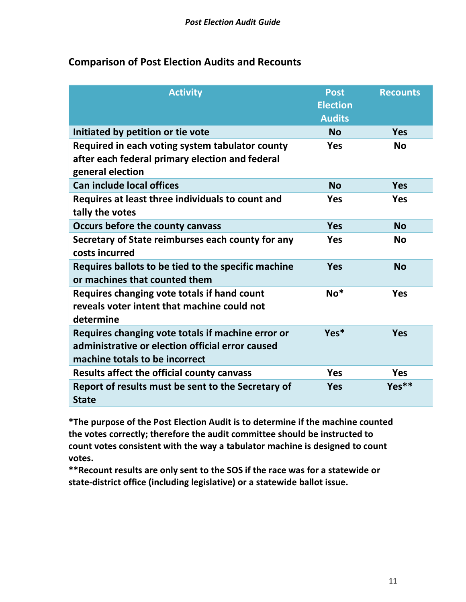# <span id="page-10-0"></span>**Comparison of Post Election Audits and Recounts**

| <b>Activity</b>                                                                                                                         | <b>Post</b><br><b>Election</b><br><b>Audits</b> | <b>Recounts</b> |
|-----------------------------------------------------------------------------------------------------------------------------------------|-------------------------------------------------|-----------------|
| Initiated by petition or tie vote                                                                                                       | <b>No</b>                                       | <b>Yes</b>      |
| Required in each voting system tabulator county<br>after each federal primary election and federal<br>general election                  | <b>Yes</b>                                      | <b>No</b>       |
| <b>Can include local offices</b>                                                                                                        | <b>No</b>                                       | <b>Yes</b>      |
| Requires at least three individuals to count and<br>tally the votes                                                                     | <b>Yes</b>                                      | <b>Yes</b>      |
| Occurs before the county canvass                                                                                                        | <b>Yes</b>                                      | <b>No</b>       |
| Secretary of State reimburses each county for any<br>costs incurred                                                                     | <b>Yes</b>                                      | <b>No</b>       |
| Requires ballots to be tied to the specific machine<br>or machines that counted them                                                    | <b>Yes</b>                                      | <b>No</b>       |
| Requires changing vote totals if hand count<br>reveals voter intent that machine could not<br>determine                                 | $No*$                                           | <b>Yes</b>      |
| Requires changing vote totals if machine error or<br>administrative or election official error caused<br>machine totals to be incorrect | Yes*                                            | <b>Yes</b>      |
| Results affect the official county canvass                                                                                              | <b>Yes</b>                                      | <b>Yes</b>      |
| Report of results must be sent to the Secretary of<br><b>State</b>                                                                      | <b>Yes</b>                                      | $Yes**$         |

**\*The purpose of the Post Election Audit is to determine if the machine counted the votes correctly; therefore the audit committee should be instructed to count votes consistent with the way a tabulator machine is designed to count votes.** 

**\*\*Recount results are only sent to the SOS if the race was for a statewide or state-district office (including legislative) or a statewide ballot issue.**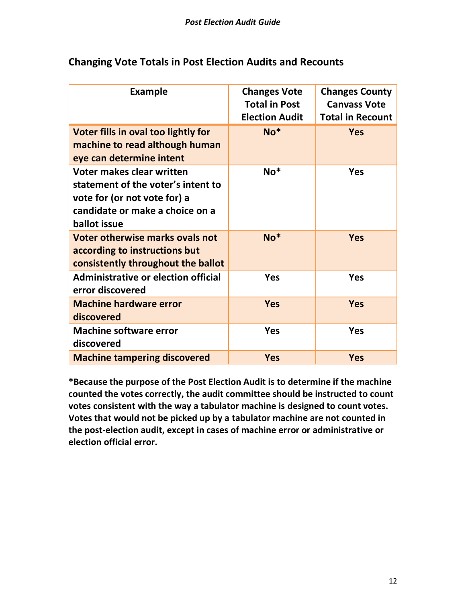| <b>Example</b>                                                                                                                                     | <b>Changes Vote</b><br><b>Total in Post</b><br><b>Election Audit</b> | <b>Changes County</b><br><b>Canvass Vote</b><br><b>Total in Recount</b> |
|----------------------------------------------------------------------------------------------------------------------------------------------------|----------------------------------------------------------------------|-------------------------------------------------------------------------|
| Voter fills in oval too lightly for<br>machine to read although human<br>eye can determine intent                                                  | $No*$                                                                | <b>Yes</b>                                                              |
| Voter makes clear written<br>statement of the voter's intent to<br>vote for (or not vote for) a<br>candidate or make a choice on a<br>ballot issue | $No*$                                                                | <b>Yes</b>                                                              |
| Voter otherwise marks ovals not<br>according to instructions but<br>consistently throughout the ballot                                             | $No*$                                                                | <b>Yes</b>                                                              |
| <b>Administrative or election official</b><br>error discovered                                                                                     | <b>Yes</b>                                                           | <b>Yes</b>                                                              |
| <b>Machine hardware error</b><br>discovered                                                                                                        | <b>Yes</b>                                                           | <b>Yes</b>                                                              |
| <b>Machine software error</b><br>discovered                                                                                                        | <b>Yes</b>                                                           | <b>Yes</b>                                                              |
| <b>Machine tampering discovered</b>                                                                                                                | <b>Yes</b>                                                           | <b>Yes</b>                                                              |

# <span id="page-11-0"></span>**Changing Vote Totals in Post Election Audits and Recounts**

**\*Because the purpose of the Post Election Audit is to determine if the machine counted the votes correctly, the audit committee should be instructed to count votes consistent with the way a tabulator machine is designed to count votes. Votes that would not be picked up by a tabulator machine are not counted in the post-election audit, except in cases of machine error or administrative or election official error.**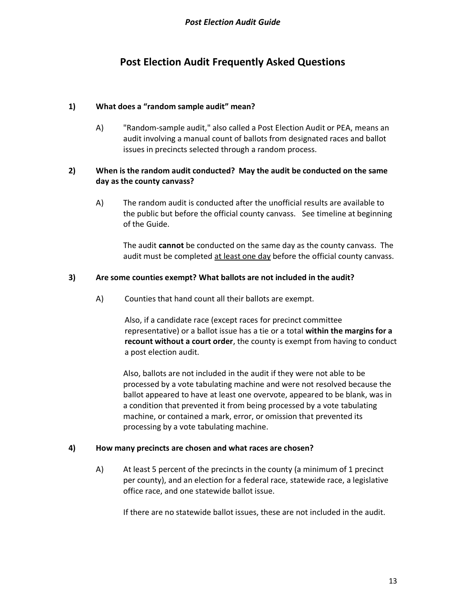# **Post Election Audit Frequently Asked Questions**

# <span id="page-12-0"></span>**1) What does a "random sample audit" mean?**

A) "Random-sample audit," also called a Post Election Audit or PEA, means an audit involving a manual count of ballots from designated races and ballot issues in precincts selected through a random process.

# **2) When is the random audit conducted? May the audit be conducted on the same day as the county canvass?**

A) The random audit is conducted after the unofficial results are available to the public but before the official county canvass. See timeline at beginning of the Guide.

The audit **cannot** be conducted on the same day as the county canvass. The audit must be completed at least one day before the official county canvass.

# **3) Are some counties exempt? What ballots are not included in the audit?**

A) Counties that hand count all their ballots are exempt.

Also, if a candidate race (except races for precinct committee representative) or a ballot issue has a tie or a total **within the margins for a recount without a court order**, the county is exempt from having to conduct a post election audit.

Also, ballots are not included in the audit if they were not able to be processed by a vote tabulating machine and were not resolved because the ballot appeared to have at least one overvote, appeared to be blank, was in a condition that prevented it from being processed by a vote tabulating machine, or contained a mark, error, or omission that prevented its processing by a vote tabulating machine.

# **4) How many precincts are chosen and what races are chosen?**

A) At least 5 percent of the precincts in the county (a minimum of 1 precinct per county), and an election for a federal race, statewide race, a legislative office race, and one statewide ballot issue.

If there are no statewide ballot issues, these are not included in the audit.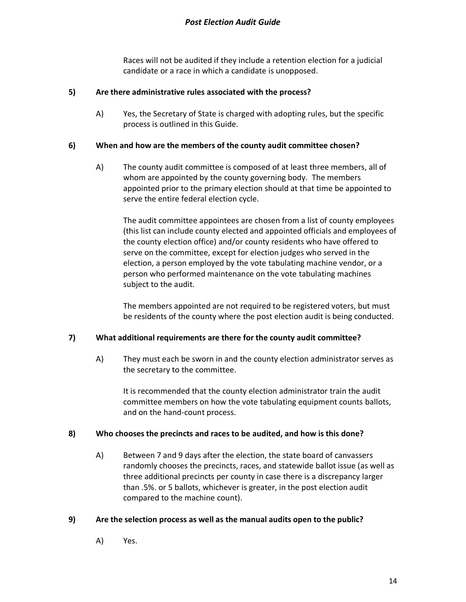Races will not be audited if they include a retention election for a judicial candidate or a race in which a candidate is unopposed.

#### **5) Are there administrative rules associated with the process?**

A) Yes, the Secretary of State is charged with adopting rules, but the specific process is outlined in this Guide.

#### **6) When and how are the members of the county audit committee chosen?**

A) The county audit committee is composed of at least three members, all of whom are appointed by the county governing body. The members appointed prior to the primary election should at that time be appointed to serve the entire federal election cycle.

The audit committee appointees are chosen from a list of county employees (this list can include county elected and appointed officials and employees of the county election office) and/or county residents who have offered to serve on the committee, except for election judges who served in the election, a person employed by the vote tabulating machine vendor, or a person who performed maintenance on the vote tabulating machines subject to the audit.

The members appointed are not required to be registered voters, but must be residents of the county where the post election audit is being conducted.

## **7) What additional requirements are there for the county audit committee?**

A) They must each be sworn in and the county election administrator serves as the secretary to the committee.

It is recommended that the county election administrator train the audit committee members on how the vote tabulating equipment counts ballots, and on the hand-count process.

#### **8) Who chooses the precincts and races to be audited, and how is this done?**

A) Between 7 and 9 days after the election, the state board of canvassers randomly chooses the precincts, races, and statewide ballot issue (as well as three additional precincts per county in case there is a discrepancy larger than .5%. or 5 ballots, whichever is greater, in the post election audit compared to the machine count).

## **9) Are the selection process as well as the manual audits open to the public?**

A) Yes.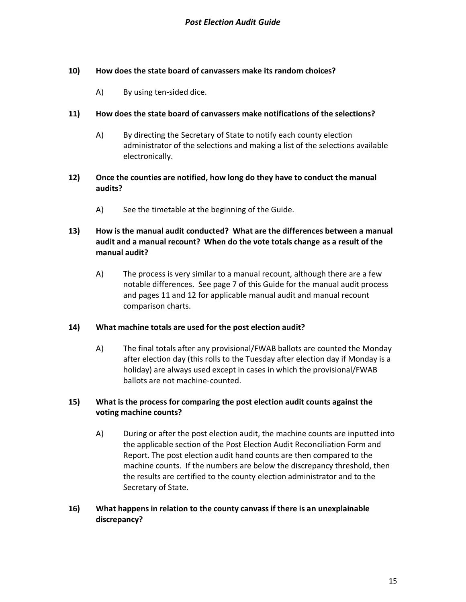## **10) How does the state board of canvassers make its random choices?**

A) By using ten-sided dice.

#### **11) How does the state board of canvassers make notifications of the selections?**

A) By directing the Secretary of State to notify each county election administrator of the selections and making a list of the selections available electronically.

#### **12) Once the counties are notified, how long do they have to conduct the manual audits?**

A) See the timetable at the beginning of the Guide.

# **13) How is the manual audit conducted? What are the differences between a manual audit and a manual recount? When do the vote totals change as a result of the manual audit?**

A) The process is very similar to a manual recount, although there are a few notable differences. See page 7 of this Guide for the manual audit process and pages 11 and 12 for applicable manual audit and manual recount comparison charts.

#### **14) What machine totals are used for the post election audit?**

A) The final totals after any provisional/FWAB ballots are counted the Monday after election day (this rolls to the Tuesday after election day if Monday is a holiday) are always used except in cases in which the provisional/FWAB ballots are not machine-counted.

## **15) What is the process for comparing the post election audit counts against the voting machine counts?**

A) During or after the post election audit, the machine counts are inputted into the applicable section of the Post Election Audit Reconciliation Form and Report. The post election audit hand counts are then compared to the machine counts. If the numbers are below the discrepancy threshold, then the results are certified to the county election administrator and to the Secretary of State.

# **16) What happens in relation to the county canvass if there is an unexplainable discrepancy?**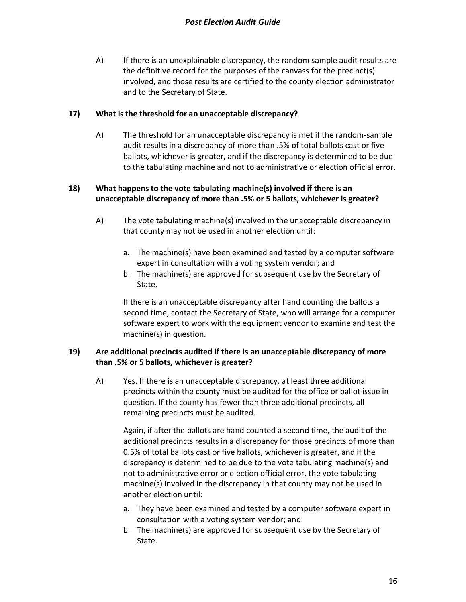A) If there is an unexplainable discrepancy, the random sample audit results are the definitive record for the purposes of the canvass for the precinct(s) involved, and those results are certified to the county election administrator and to the Secretary of State.

#### **17) What is the threshold for an unacceptable discrepancy?**

A) The threshold for an unacceptable discrepancy is met if the random-sample audit results in a discrepancy of more than .5% of total ballots cast or five ballots, whichever is greater, and if the discrepancy is determined to be due to the tabulating machine and not to administrative or election official error.

# **18) What happens to the vote tabulating machine(s) involved if there is an unacceptable discrepancy of more than .5% or 5 ballots, whichever is greater?**

- A) The vote tabulating machine(s) involved in the unacceptable discrepancy in that county may not be used in another election until:
	- a. The machine(s) have been examined and tested by a computer software expert in consultation with a voting system vendor; and
	- b. The machine(s) are approved for subsequent use by the Secretary of State.

If there is an unacceptable discrepancy after hand counting the ballots a second time, contact the Secretary of State, who will arrange for a computer software expert to work with the equipment vendor to examine and test the machine(s) in question.

# **19) Are additional precincts audited if there is an unacceptable discrepancy of more than .5% or 5 ballots, whichever is greater?**

A) Yes. If there is an unacceptable discrepancy, at least three additional precincts within the county must be audited for the office or ballot issue in question. If the county has fewer than three additional precincts, all remaining precincts must be audited.

Again, if after the ballots are hand counted a second time, the audit of the additional precincts results in a discrepancy for those precincts of more than 0.5% of total ballots cast or five ballots, whichever is greater, and if the discrepancy is determined to be due to the vote tabulating machine(s) and not to administrative error or election official error, the vote tabulating machine(s) involved in the discrepancy in that county may not be used in another election until:

- a. They have been examined and tested by a computer software expert in consultation with a voting system vendor; and
- b. The machine(s) are approved for subsequent use by the Secretary of State.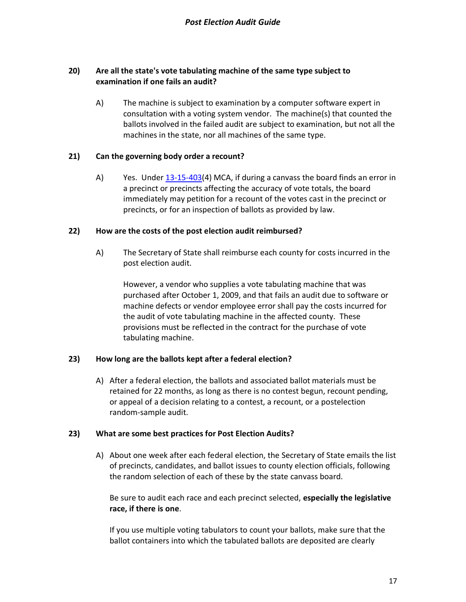# **20) Are all the state's vote tabulating machine of the same type subject to examination if one fails an audit?**

A) The machine is subject to examination by a computer software expert in consultation with a voting system vendor. The machine(s) that counted the ballots involved in the failed audit are subject to examination, but not all the machines in the state, nor all machines of the same type.

#### **21) Can the governing body order a recount?**

A) Yes. Unde[r 13-15-403\(](http://leg.mt.gov/bills/mca/title_0130/chapter_0150/part_0040/section_0030/0130-0150-0040-0030.html)4) MCA, if during a canvass the board finds an error in a precinct or precincts affecting the accuracy of vote totals, the board immediately may petition for a recount of the votes cast in the precinct or precincts, or for an inspection of ballots as provided by law.

#### **22) How are the costs of the post election audit reimbursed?**

A) The Secretary of State shall reimburse each county for costs incurred in the post election audit.

However, a vendor who supplies a vote tabulating machine that was purchased after October 1, 2009, and that fails an audit due to software or machine defects or vendor employee error shall pay the costs incurred for the audit of vote tabulating machine in the affected county. These provisions must be reflected in the contract for the purchase of vote tabulating machine.

## **23) How long are the ballots kept after a federal election?**

A) After a federal election, the ballots and associated ballot materials must be retained for 22 months, as long as there is no contest begun, recount pending, or appeal of a decision relating to a contest, a recount, or a postelection random-sample audit.

#### **23) What are some best practices for Post Election Audits?**

A) About one week after each federal election, the Secretary of State emails the list of precincts, candidates, and ballot issues to county election officials, following the random selection of each of these by the state canvass board.

Be sure to audit each race and each precinct selected, **especially the legislative race, if there is one**.

If you use multiple voting tabulators to count your ballots, make sure that the ballot containers into which the tabulated ballots are deposited are clearly